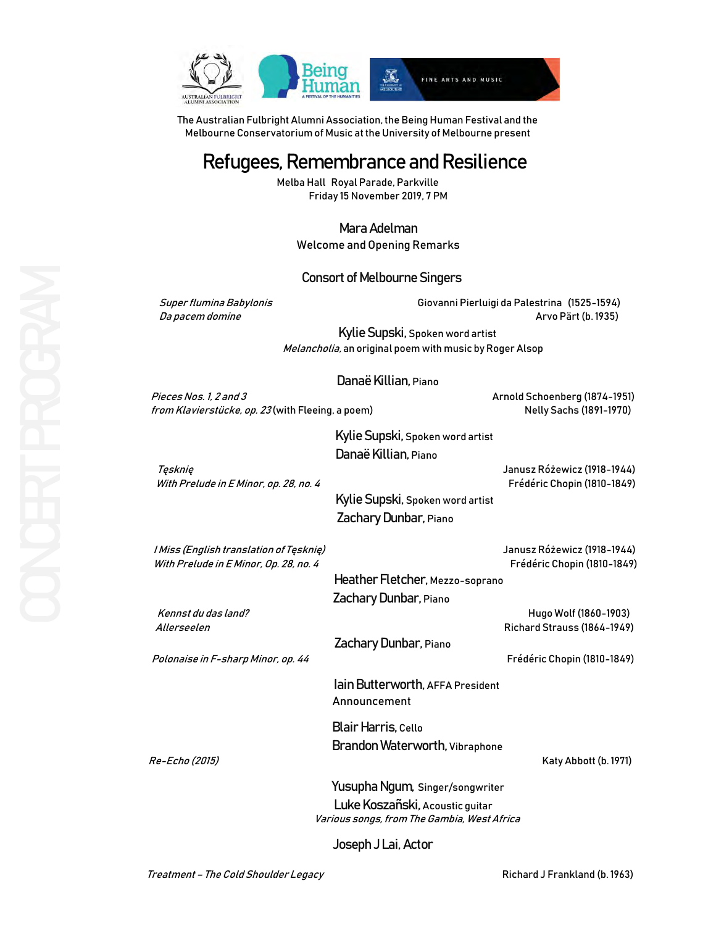

The Australian Fulbright Alumni Association, the Being Human Festival and the Melbourne Conservatorium of Music at the University of Melbourne present

# Refugees, Remembrance and Resilience

Melba Hall Royal Parade, Parkville Friday 15 November 2019, 7 PM

> Mara Adelman Welcome and Opening Remarks

### Consort of Melbourne Singers

 Super flumina Babylonis Giovanni Pierluigi da Palestrina (1525-1594) Da pacem domine Arvo Pärt (b.1935)

> Kylie Supski, Spoken word artist Melancholia, an original poem with music by Roger Alsop

### Danaë Killian, Piano

Pieces Nos. 1, 2 and 3 Arnold Schoenberg (1874-1951) from Klavierstücke, op. 23 (with Fleeing, a poem)Nelly Sachs (1891-1970)

Kylie Supski, Spoken word artist Danaë Killian, Piano

Tęsknię Janusz Różewicz (1918-1944)

With Prelude in E Minor, op. 28, no. 4 Frédéric Chopin (1810-1849)

 Kylie Supski, Spoken word artist Zachary Dunbar, Piano

 I Miss (English translation of Tęsknię) Janusz Różewicz (1918-1944) With Prelude in E Minor, Op. 28, no. 4 Frédéric Chopin (1810-1849)

*Polonaise in F-sharp Minor, op. 44* Frédéric Chopin (1810-1849)

 Heather Fletcher, Mezzo-soprano Zachary Dunbar, Piano

 Kennst du das land? Hugo Wolf (1860-1903) Allerseelen Richard Strauss (1864-1949)

Zachary Dunbar, Piano

 Iain Butterworth, AFFA President Announcement

 Blair Harris, Cello Brandon Waterworth, Vibraphone

Re-Echo (2015) Katy Abbott (b. 1971)

 Yusupha Ngum, Singer/songwriter Luke Koszañski, Acoustic guitar Various songs, from The Gambia, West Africa

Joseph J Lai, Actor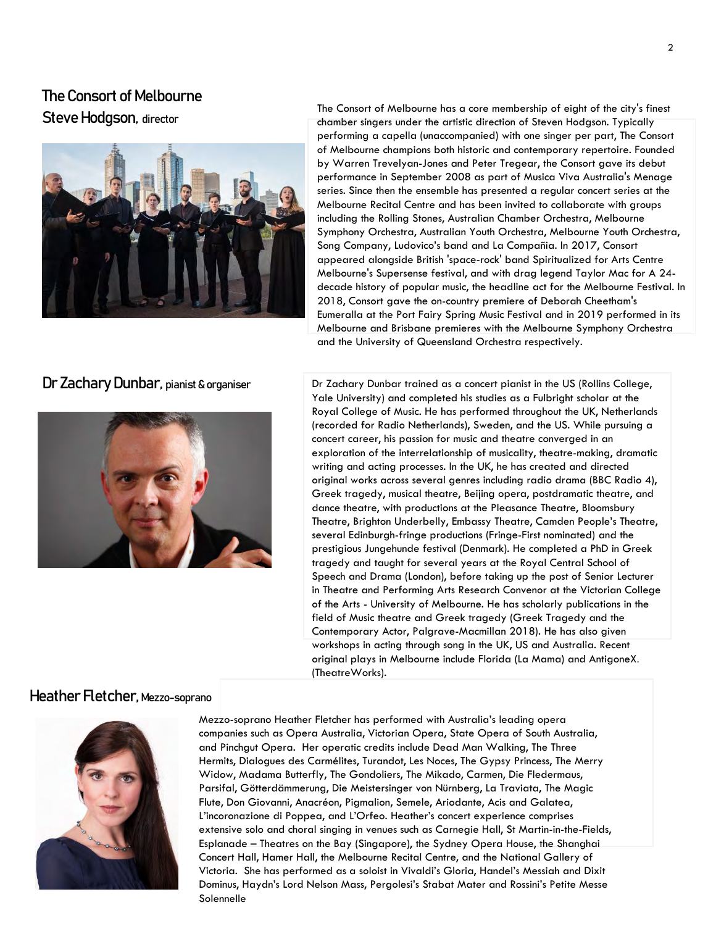## The Consort of Melbourne Steve Hodgson, director



## Dr Zachary Dunbar, pianist & organiser



The Consort of Melbourne has a core membership of eight of the city's finest chamber singers under the artistic direction of Steven Hodgson. Typically performing a capella (unaccompanied) with one singer per part, The Consort of Melbourne champions both historic and contemporary repertoire. Founded by Warren Trevelyan-Jones and Peter Tregear, the Consort gave its debut performance in September 2008 as part of Musica Viva Australia's Menage series. Since then the ensemble has presented a regular concert series at the Melbourne Recital Centre and has been invited to collaborate with groups including the Rolling Stones, Australian Chamber Orchestra, Melbourne Symphony Orchestra, Australian Youth Orchestra, Melbourne Youth Orchestra, Song Company, Ludovico's band and La Compañia. In 2017, Consort appeared alongside British 'space-rock' band Spiritualized for Arts Centre Melbourne's Supersense festival, and with drag legend Taylor Mac for A 24 decade history of popular music, the headline act for the Melbourne Festival. In 2018, Consort gave the on-country premiere of Deborah Cheetham's Eumeralla at the Port Fairy Spring Music Festival and in 2019 performed in its Melbourne and Brisbane premieres with the Melbourne Symphony Orchestra and the University of Queensland Orchestra respectively.

Dr Zachary Dunbar trained as a concert pianist in the US (Rollins College, Yale University) and completed his studies as a Fulbright scholar at the Royal College of Music. He has performed throughout the UK, Netherlands (recorded for Radio Netherlands), Sweden, and the US. While pursuing a concert career, his passion for music and theatre converged in an exploration of the interrelationship of musicality, theatre-making, dramatic writing and acting processes. In the UK, he has created and directed original works across several genres including radio drama (BBC Radio 4), Greek tragedy, musical theatre, Beijing opera, postdramatic theatre, and dance theatre, with productions at the Pleasance Theatre, Bloomsbury Theatre, Brighton Underbelly, Embassy Theatre, Camden People's Theatre, several Edinburgh-fringe productions (Fringe-First nominated) and the prestigious Jungehunde festival (Denmark). He completed a PhD in Greek tragedy and taught for several years at the Royal Central School of Speech and Drama (London), before taking up the post of Senior Lecturer in Theatre and Performing Arts Research Convenor at the Victorian College of the Arts - University of Melbourne. He has scholarly publications in the field of Music theatre and Greek tragedy (Greek Tragedy and the Contemporary Actor, Palgrave-Macmillan 2018). He has also given workshops in acting through song in the UK, US and Australia. Recent original plays in Melbourne include Florida (La Mama) and AntigoneX. (TheatreWorks).

## Heather Fletcher, Mezzo-soprano



Mezzo-soprano Heather Fletcher has performed with Australia's leading opera companies such as Opera Australia, Victorian Opera, State Opera of South Australia, and Pinchgut Opera. Her operatic credits include Dead Man Walking, The Three Hermits, Dialogues des Carmélites, Turandot, Les Noces, The Gypsy Princess, The Merry Widow, Madama Butterfly, The Gondoliers, The Mikado, Carmen, Die Fledermaus, Parsifal, Götterdämmerung, Die Meistersinger von Nürnberg, La Traviata, The Magic Flute, Don Giovanni, Anacréon, Pigmalion, Semele, Ariodante, Acis and Galatea, L'incoronazione di Poppea, and L'Orfeo. Heather's concert experience comprises extensive solo and choral singing in venues such as Carnegie Hall, St Martin-in-the-Fields, Esplanade – Theatres on the Bay (Singapore), the Sydney Opera House, the Shanghai Concert Hall, Hamer Hall, the Melbourne Recital Centre, and the National Gallery of Victoria. She has performed as a soloist in Vivaldi's Gloria, Handel's Messiah and Dixit Dominus, Haydn's Lord Nelson Mass, Pergolesi's Stabat Mater and Rossini's Petite Messe Solennelle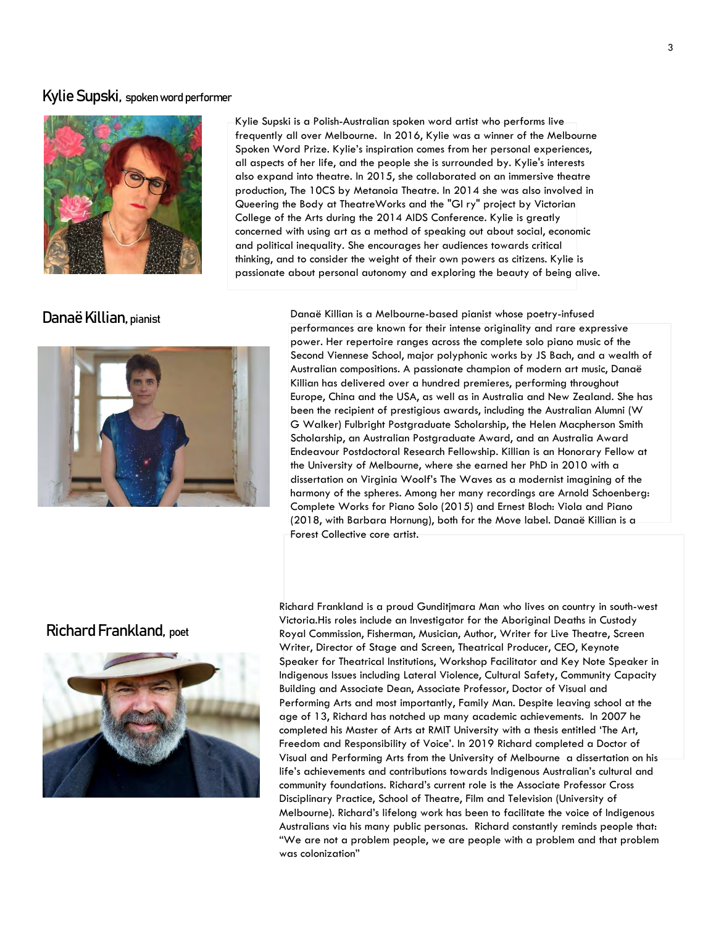## Kylie Supski, spoken word performer



Kylie Supski is a Polish-Australian spoken word artist who performs live frequently all over Melbourne. In 2016, Kylie was a winner of the Melbourne Spoken Word Prize. Kylie's inspiration comes from her personal experiences, all aspects of her life, and the people she is surrounded by. Kylie's interests also expand into theatre. In 2015, she collaborated on an immersive theatre production, The 10CS by Metanoia Theatre. In 2014 she was also involved in Queering the Body at TheatreWorks and the "Gl ry" project by Victorian College of the Arts during the 2014 AIDS Conference. Kylie is greatly concerned with using art as a method of speaking out about social, economic and political inequality. She encourages her audiences towards critical thinking, and to consider the weight of their own powers as citizens. Kylie is passionate about personal autonomy and exploring the beauty of being alive.

Danaë Killian, pianist



Danaë Killian is a Melbourne-based pianist whose poetry-infused performances are known for their intense originality and rare expressive power. Her repertoire ranges across the complete solo piano music of the Second Viennese School, major polyphonic works by JS Bach, and a wealth of Australian compositions. A passionate champion of modern art music, Danaë Killian has delivered over a hundred premieres, performing throughout Europe, China and the USA, as well as in Australia and New Zealand. She has been the recipient of prestigious awards, including the Australian Alumni (W G Walker) Fulbright Postgraduate Scholarship, the Helen Macpherson Smith Scholarship, an Australian Postgraduate Award, and an Australia Award Endeavour Postdoctoral Research Fellowship. Killian is an Honorary Fellow at the University of Melbourne, where she earned her PhD in 2010 with a dissertation on Virginia Woolf's The Waves as a modernist imagining of the harmony of the spheres. Among her many recordings are Arnold Schoenberg: Complete Works for Piano Solo (2015) and Ernest Bloch: Viola and Piano (2018, with Barbara Hornung), both for the Move label. Danaë Killian is a Forest Collective core artist.

## Richard Frankland, poet



Richard Frankland is a proud Gunditjmara Man who lives on country in south-west Victoria.His roles include an Investigator for the Aboriginal Deaths in Custody Royal Commission, Fisherman, Musician, Author, Writer for Live Theatre, Screen Writer, Director of Stage and Screen, Theatrical Producer, CEO, Keynote Speaker for Theatrical Institutions, Workshop Facilitator and Key Note Speaker in Indigenous Issues including Lateral Violence, Cultural Safety, Community Capacity Building and Associate Dean, Associate Professor, Doctor of Visual and Performing Arts and most importantly, Family Man. Despite leaving school at the age of 13, Richard has notched up many academic achievements. In 2007 he completed his Master of Arts at RMIT University with a thesis entitled 'The Art, Freedom and Responsibility of Voice'. In 2019 Richard completed a Doctor of Visual and Performing Arts from the University of Melbourne a dissertation on his life's achievements and contributions towards Indigenous Australian's cultural and community foundations. Richard's current role is the Associate Professor Cross Disciplinary Practice, School of Theatre, Film and Television (University of Melbourne). Richard's lifelong work has been to facilitate the voice of Indigenous Australians via his many public personas. Richard constantly reminds people that: "We are not a problem people, we are people with a problem and that problem was colonization"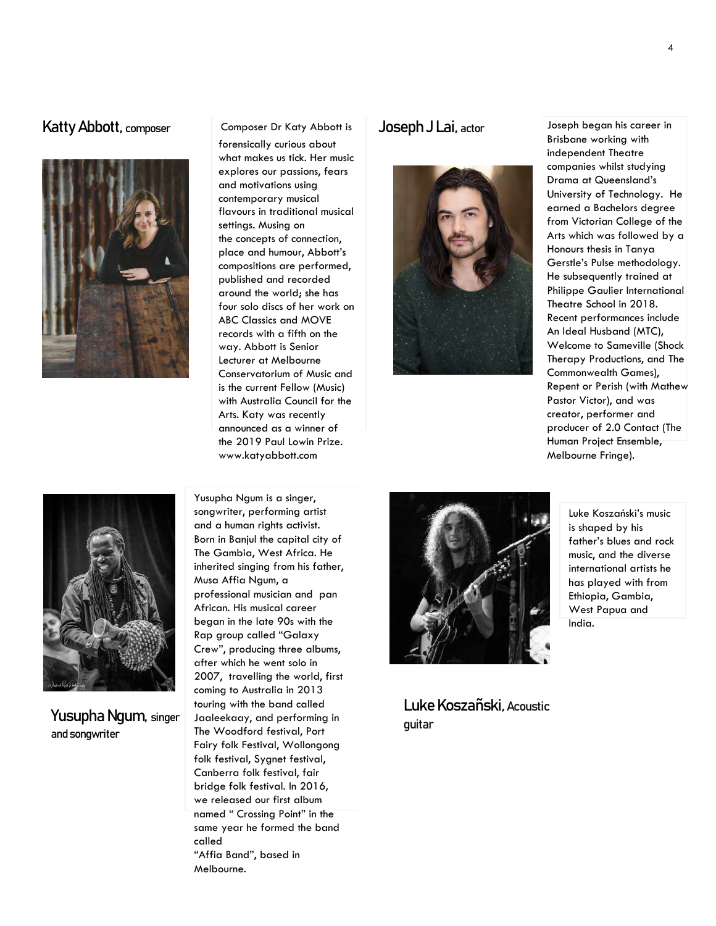## Katty Abbott, composer Gomposer Dr Katy Abbott is Joseph J Lai, actor



### Composer Dr Katy Abbott is

forensically curious about what makes us tick. Her music explores our passions, fears and motivations using contemporary musical flavours in traditional musical settings. Musing on the concepts of connection, place and humour, Abbott's compositions are performed, published and recorded around the world; she has four solo discs of her work on ABC Classics and MOVE records with a fifth on the way. Abbott is Senior Lecturer at Melbourne Conservatorium of Music and is the current Fellow (Music) with Australia Council for the Arts. Katy was recently announced as a winner of the 2019 Paul Lowin Prize. www.katyabbott.com



Joseph began his career in Brisbane working with independent Theatre companies whilst studying Drama at Queensland's University of Technology. He earned a Bachelors degree from Victorian College of the Arts which was followed by a Honours thesis in Tanya Gerstle's Pulse methodology. He subsequently trained at Philippe Gaulier International Theatre School in 2018. Recent performances include An Ideal Husband (MTC), Welcome to Sameville (Shock Therapy Productions, and The Commonwealth Games), Repent or Perish (with Mathew Pastor Victor), and was creator, performer and producer of 2.0 Contact (The Human Project Ensemble, Melbourne Fringe).



and songwriter

Yusupha Ngum is a singer, songwriter, performing artist and a human rights activist. Born in Banjul the capital city of The Gambia, West Africa. He inherited singing from his father, Musa Affia Ngum, a professional musician and pan African. His musical career began in the late 90s with the Rap group called "Galaxy Crew", producing three albums, after which he went solo in 2007, travelling the world, first coming to Australia in 2013 touring with the band called Jaaleekaay, and performing in The Woodford festival, Port Fairy folk Festival, Wollongong folk festival, Sygnet festival, Canberra folk festival, fair bridge folk festival. In 2016, we released our first album named " Crossing Point" in the same year he formed the band called "Affia Band", based in Melbourne. Yusupha Ngum, singer Jacleekaay, and performing in Turney and Turney



Luke Koszañski, Acoustic

Luke Koszański's music is shaped by his father's blues and rock music, and the diverse international artists he has played with from Ethiopia, Gambia, West Papua and India.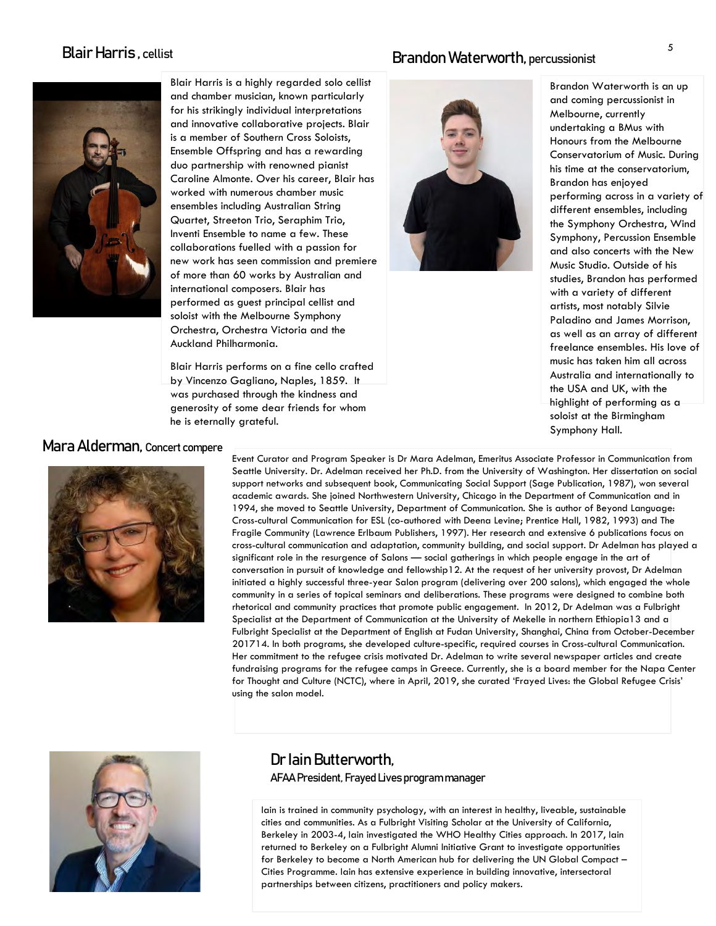## Blair Harris , cellist



Blair Harris is a highly regarded solo cellist and chamber musician, known particularly for his strikingly individual interpretations and innovative collaborative projects. Blair is a member of Southern Cross Soloists, Ensemble Offspring and has a rewarding duo partnership with renowned pianist Caroline Almonte. Over his career, Blair has worked with numerous chamber music ensembles including Australian String Quartet, Streeton Trio, Seraphim Trio, Inventi Ensemble to name a few. These collaborations fuelled with a passion for new work has seen commission and premiere of more than 60 works by Australian and international composers. Blair has performed as guest principal cellist and soloist with the Melbourne Symphony Orchestra, Orchestra Victoria and the Auckland Philharmonia.

Blair Harris performs on a fine cello crafted by Vincenzo Gagliano, Naples, 1859. It was purchased through the kindness and generosity of some dear friends for whom he is eternally grateful.

## Brandon Waterworth, percussionist



Brandon Waterworth is an up and coming percussionist in Melbourne, currently undertaking a BMus with Honours from the Melbourne Conservatorium of Music. During his time at the conservatorium, Brandon has enjoyed performing across in a variety of different ensembles, including the Symphony Orchestra, Wind Symphony, Percussion Ensemble and also concerts with the New Music Studio. Outside of his studies, Brandon has performed with a variety of different artists, most notably Silvie Paladino and James Morrison, as well as an array of different freelance ensembles. His love of music has taken him all across Australia and internationally to the USA and UK, with the highlight of performing as a soloist at the Birmingham Symphony Hall.

## Mara Alderman, Concert compere



Event Curator and Program Speaker is Dr Mara Adelman, Emeritus Associate Professor in Communication from Seattle University. Dr. Adelman received her Ph.D. from the University of Washington. Her dissertation on social support networks and subsequent book, Communicating Social Support (Sage Publication, 1987), won several academic awards. She joined Northwestern University, Chicago in the Department of Communication and in 1994, she moved to Seattle University, Department of Communication. She is author of Beyond Language: Cross-cultural Communication for ESL (co-authored with Deena Levine; Prentice Hall, 1982, 1993) and The Fragile Community (Lawrence Erlbaum Publishers, 1997). Her research and extensive 6 publications focus on cross-cultural communication and adaptation, community building, and social support. Dr Adelman has played a significant role in the resurgence of Salons — social gatherings in which people engage in the art of conversation in pursuit of knowledge and fellowship12. At the request of her university provost, Dr Adelman initiated a highly successful three-year Salon program (delivering over 200 salons), which engaged the whole community in a series of topical seminars and deliberations. These programs were designed to combine both rhetorical and community practices that promote public engagement. In 2012, Dr Adelman was a Fulbright Specialist at the Department of Communication at the University of Mekelle in northern Ethiopia13 and a Fulbright Specialist at the Department of English at Fudan University, Shanghai, China from October-December 201714. In both programs, she developed culture-specific, required courses in Cross-cultural Communication. Her commitment to the refugee crisis motivated Dr. Adelman to write several newspaper articles and create fundraising programs for the refugee camps in Greece. Currently, she is a board member for the Napa Center for Thought and Culture (NCTC), where in April, 2019, she curated 'Frayed Lives: the Global Refugee Crisis' using the salon model.



## Dr Iain Butterworth, AFAA President, Frayed Lives program manager

Iain is trained in community psychology, with an interest in healthy, liveable, sustainable cities and communities. As a Fulbright Visiting Scholar at the University of California, Berkeley in 2003-4, Iain investigated the WHO Healthy Cities approach. In 2017, Iain returned to Berkeley on a Fulbright Alumni Initiative Grant to investigate opportunities for Berkeley to become a North American hub for delivering the UN Global Compact – Cities Programme. Iain has extensive experience in building innovative, intersectoral partnerships between citizens, practitioners and policy makers.